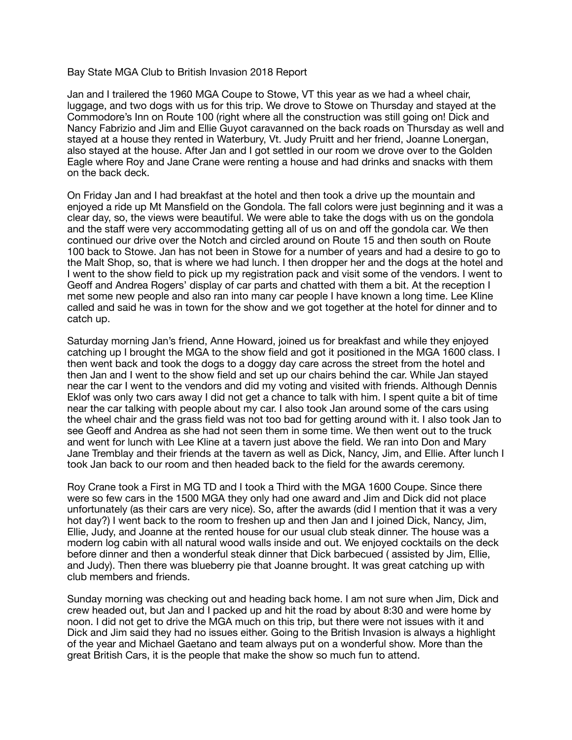## Bay State MGA Club to British Invasion 2018 Report

Jan and I trailered the 1960 MGA Coupe to Stowe, VT this year as we had a wheel chair, luggage, and two dogs with us for this trip. We drove to Stowe on Thursday and stayed at the Commodore's Inn on Route 100 (right where all the construction was still going on! Dick and Nancy Fabrizio and Jim and Ellie Guyot caravanned on the back roads on Thursday as well and stayed at a house they rented in Waterbury, Vt. Judy Pruitt and her friend, Joanne Lonergan, also stayed at the house. After Jan and I got settled in our room we drove over to the Golden Eagle where Roy and Jane Crane were renting a house and had drinks and snacks with them on the back deck.

On Friday Jan and I had breakfast at the hotel and then took a drive up the mountain and enjoyed a ride up Mt Mansfield on the Gondola. The fall colors were just beginning and it was a clear day, so, the views were beautiful. We were able to take the dogs with us on the gondola and the staff were very accommodating getting all of us on and off the gondola car. We then continued our drive over the Notch and circled around on Route 15 and then south on Route 100 back to Stowe. Jan has not been in Stowe for a number of years and had a desire to go to the Malt Shop, so, that is where we had lunch. I then dropper her and the dogs at the hotel and I went to the show field to pick up my registration pack and visit some of the vendors. I went to Geoff and Andrea Rogers' display of car parts and chatted with them a bit. At the reception I met some new people and also ran into many car people I have known a long time. Lee Kline called and said he was in town for the show and we got together at the hotel for dinner and to catch up.

Saturday morning Jan's friend, Anne Howard, joined us for breakfast and while they enjoyed catching up I brought the MGA to the show field and got it positioned in the MGA 1600 class. I then went back and took the dogs to a doggy day care across the street from the hotel and then Jan and I went to the show field and set up our chairs behind the car. While Jan stayed near the car I went to the vendors and did my voting and visited with friends. Although Dennis Eklof was only two cars away I did not get a chance to talk with him. I spent quite a bit of time near the car talking with people about my car. I also took Jan around some of the cars using the wheel chair and the grass field was not too bad for getting around with it. I also took Jan to see Geoff and Andrea as she had not seen them in some time. We then went out to the truck and went for lunch with Lee Kline at a tavern just above the field. We ran into Don and Mary Jane Tremblay and their friends at the tavern as well as Dick, Nancy, Jim, and Ellie. After lunch I took Jan back to our room and then headed back to the field for the awards ceremony.

Roy Crane took a First in MG TD and I took a Third with the MGA 1600 Coupe. Since there were so few cars in the 1500 MGA they only had one award and Jim and Dick did not place unfortunately (as their cars are very nice). So, after the awards (did I mention that it was a very hot day?) I went back to the room to freshen up and then Jan and I joined Dick, Nancy, Jim, Ellie, Judy, and Joanne at the rented house for our usual club steak dinner. The house was a modern log cabin with all natural wood walls inside and out. We enjoyed cocktails on the deck before dinner and then a wonderful steak dinner that Dick barbecued ( assisted by Jim, Ellie, and Judy). Then there was blueberry pie that Joanne brought. It was great catching up with club members and friends.

Sunday morning was checking out and heading back home. I am not sure when Jim, Dick and crew headed out, but Jan and I packed up and hit the road by about 8:30 and were home by noon. I did not get to drive the MGA much on this trip, but there were not issues with it and Dick and Jim said they had no issues either. Going to the British Invasion is always a highlight of the year and Michael Gaetano and team always put on a wonderful show. More than the great British Cars, it is the people that make the show so much fun to attend.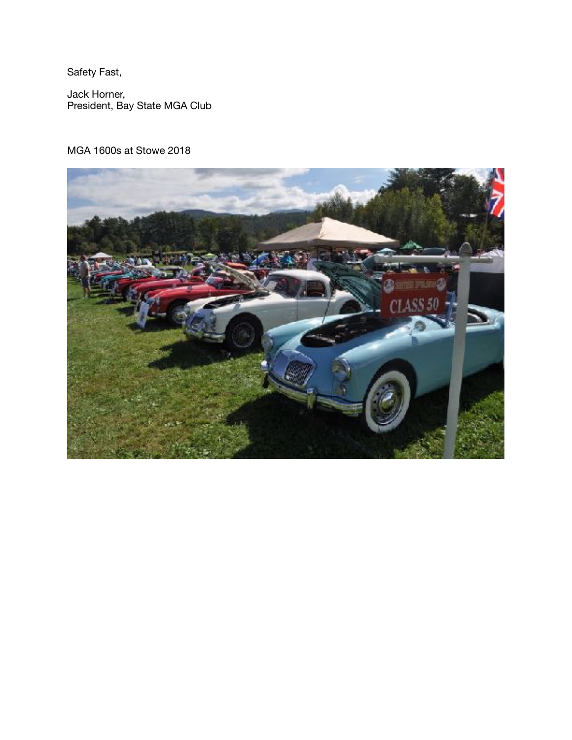Safety Fast,

Jack Horner, President, Bay State MGA Club

## MGA 1600s at Stowe 2018